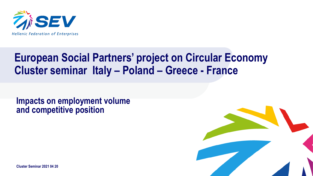

### **European Social Partners' project on Circular Economy Cluster seminar Italy – Poland – Greece - France**

**Impacts on employment volume and competitive position**



**Cluster Seminar 2021 04 20**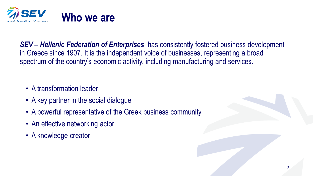

*SEV – Hellenic Federation of Enterprises* has consistently fostered business development in Greece since 1907. It is the independent voice of businesses, representing a broad spectrum of the country's economic activity, including manufacturing and services.

- A transformation leader
- A key partner in the social dialogue
- A powerful representative of the Greek business community
- An effective networking actor
- A knowledge creator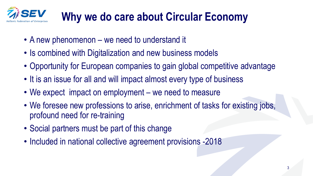

# **Why we do care about Circular Economy**

- A new phenomenon we need to understand it
- Is combined with Digitalization and new business models
- Opportunity for European companies to gain global competitive advantage
- It is an issue for all and will impact almost every type of business
- We expect impact on employment we need to measure
- We foresee new professions to arise, enrichment of tasks for existing jobs, profound need for re-training
- Social partners must be part of this change
- Included in national collective agreement provisions -2018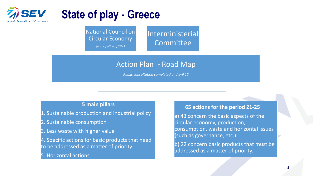

### **State of play - Greece**

National Council on Circular Economy

*(participation of SEV )*

Interministerial **Committee** 

### Action Plan - Road Map

*Public consultation completed on April 12*

#### **5 main pillars**

- 1. Sustainable production and industrial policy
- 2. Sustainable consumption
- 3. Less waste with higher value
- 4. Specific actions for basic products that need to be addressed as a matter of priority
- 5. Horizontal actions

#### **65 actions for the period 21-25**

a) 43 concern the basic aspects of the circular economy, production, consumption, waste and horizontal issues (such as governance, etc.).

b) 22 concern basic products that must be addressed as a matter of priority.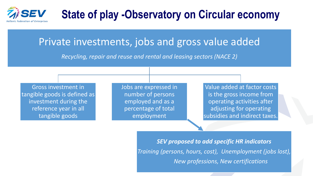

## **State of play -Observatory on Circular economy**

### Private investments, jobs and gross value added

*Recycling, repair and reuse and rental and leasing sectors (NACE 2)* 

Gross investment in tangible goods is defined as investment during the reference year in all tangible goods

Jobs are expressed in number of persons employed and as a percentage of total employment

Value added at factor costs is the gross income from operating activities after adjusting for operating subsidies and indirect taxes.

*SEV proposed to add specific HR indicators Training (persons, hours, cost), Unemployment (jobs lost), New professions, New certifications*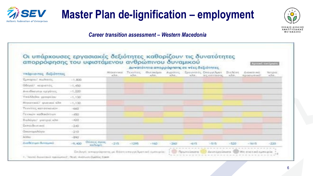

## **Master Plan de-lignification – employment**



#### *Career transition assessment – Western Macedonia*

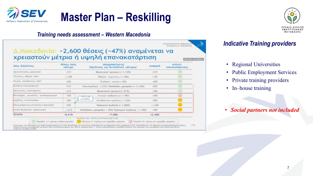

#### *Training needs assessment – Western Macedonia*

Επανακατάρτιση ανθρώ **Businessman's A. Mexican Read** 

**Apirauli Exil Linon** 

#### Δ.Μακεδονία: ~2,600 θέσεις (~47%) αναμένεται να χρειαστούν μέτρια ή υψηλή επανακατάρτιση

| Νέες δεξιότητες                     | Θέσεις προς<br>καλυψη. |            | Απορροφούμενες<br>δεξιότητες και δυνατότητα κάλυψης'<br>Μηχανικού' φυσικοί (-1,130) |          | Awaykn<br>επανακατάρτισης |
|-------------------------------------|------------------------|------------|-------------------------------------------------------------------------------------|----------|---------------------------|
| Αρχιεύα ανες, μηχανικαί             | $-215$                 |            |                                                                                     |          |                           |
| Τεχνίτες, οδηγοί, κλη. <sup>1</sup> | $-1,295$               |            | Οδηγοί/ κειριστές (-1,450)                                                          | $+155$   |                           |
| latpoi, νοσηλευτές, κληλ            | $-220$                 |            | Βιολόγοι/ κατροί (-420)                                                             | $+200$   |                           |
| Στελέχη επικειρήσεων                | $-515$                 |            | Οικονομολόγοι (-210) Υπάλληλοι γραφείου (-1,130)                                    | $-825$   |                           |
| Σρευνητές, επιστήμανες              | $-615$                 |            | Млхачкой фиокої (-915)                                                              | $-300$   |                           |
| Κλυτοκόμαι, γεωπάναι, αινοπαραγωγαί | $-160$                 | $-47%$ TOU | Γενικών καθηκόντων (~450)                                                           | $-290$   |                           |
| Αγράτες, κτηνατρόφαι                | $-260$                 | συνάλου    | Ανειδίκευτοι εργάτες (-1,220)                                                       | $-960$   |                           |
| Επαγγελματίες εστίασης-τουρισμού    | $-520$                 |            | Έμπορου πωλητές (-1,800)                                                            | $-1,280$ |                           |
| Λαιπό διακητικό πρασωπικό           | $-1,615$               |            | Υπάλληλοιγραφείου (-820) Έμπαρου πωλητές (-1,280)                                   | $-485$   |                           |
| Σύνολο                              | $-5,415$               |            | $-7,850$                                                                            | $+2,400$ |                           |

### *Indicative Training providers*

- Regional Universities
- Public Employment Services
- Private training providers
- In–house training
- *Social partners not included*

ΣΧΕΔΙΟ ΔΙΚΑ **ΙΕΤΑΒΑΣΗΣ**